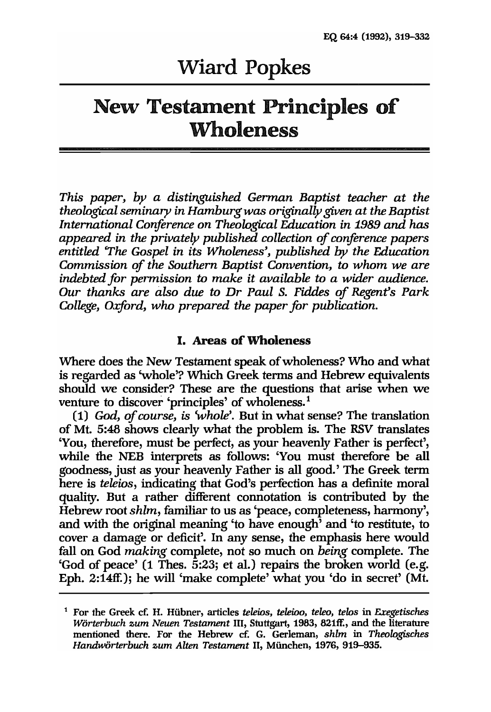# Wiard Popkes

# New Testament Principles of **Wholeness**

*This paper, by a distinguished German Baptist teacher at the theological seminary in Hamburg was originally given at the Baptist International Conference on Theological Education in* 1989 *and has appeared in the privately published collection of conference papers entitled 'The Gospel in its Wholeness', published* by *the Education Commission of the Southern Baptist Convention,* to *whom we are indebted for permission* to *make it available* to *a wider audience. Our thanks are also due* to Dr *Paul S. Fiddes of Regent's Park College, Oxford, who prepared the paper for publication.* 

#### I. Areas of Wholeness

Where does the New Testament speak of wholeness? Who and what is regarded as 'whole'? Which Greek terms and Hebrew equivalents should we consider? These are the questions that arise when we venture to discover 'principles' of wholeness.<sup>1</sup>

*(1) God, of course, is 'whole'.* But in what sense? The translation of Mt. 5:48 shows clearly what the problem is. The RSV translates 'You, therefore, must be perfect, as your heavenly Father is perfect', while the NEB interprets as follows: 'You must therefore be all goodness, just as your heavenly Father is all good.' The Greek term here is *teleios,* indicating that God's perfection has a definite moral quality. But a rather different connotation is contributed by the Hebrew root *shlm,* familiar to us as 'peace, completeness, harmony', and with the original meaning 'to have enough' and 'to restitute, to cover a damage or deficit'. In any sense, the emphasis here would fall on God *making* complete, not so much on *being* complete. The 'God of peace' (1 Thes. 5:23; et al.) repairs the broken world (e.g. Eph. 2:14ff.); he will 'make complete' what you 'do in secret' (Mt.

<sup>1</sup> For the Greek ef. H. Hiibner, articles *teleins, teleino, teleo, telos* in *Exegetisches Worterbuch zum Neuen Testament* Ill, Stuttgart, 1983, 821ff., and the literature mentioned there. For the Hebrew et: G. Gerleman, *shlm* in *Theologisches Handwiirterbuch zum Alten Testament* 11, Miinehen, 1976, 919-935.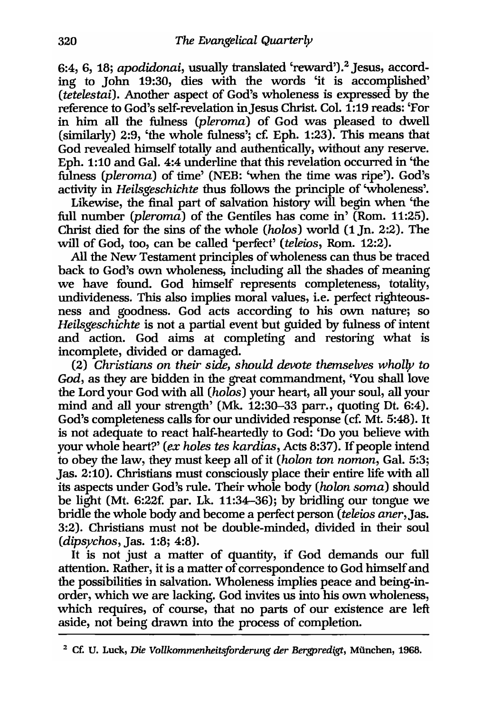6:4, 6, 18; *apodidonai*, usually translated 'reward').<sup>2</sup> Jesus, according to John 19:30, dies with the words 'it is accomplished' *(tetelestai).* Another aspect of God's wholeness is expressed by the reference to God's self-revelation inJesus Christ. Col. 1:19 reads: 'For in him all the fulness *(pleroma)* of God was pleased to dwell (similarly) 2:9, 'the whole fulness'; c£ Eph. 1:23). This means that God revealed himself totally and authentically, without any reserve. Eph. 1:10 and Gal. 4:4 underline that this revelation occurred in 'the fulness *(pleroma)* of time' (NEB: 'when the time was ripe'). God's activity in *Heilsgeschichte* thus follows the principle of 'wholeness'.

Likewise, the final part of salvation history will begin when 'the full number *(pleroma)* of the Gentiles has come in' (Rom. 11:25). Christ died for the sins of the whole *(holos)* world (1 In. 2:2). The will of God, too, can be called 'perfect' *(teleios,* Rom. 12:2).

All the New Testament principles of wholeness can thus be traced back to God's own wholeness, including all the shades of meaning we have found. God himself represents completeness, totality, undivideness. This also implies moral values, i.e. perfect righteousness and goodness. God acts according to his own nature; so *Heilsgeschichte* is not a partial event but guided by fulness of intent and action. God aims at completing and restoring what is incomplete, divided or damaged.

*(2) Christians* on *their side, should devote themselves wholly* to *God,* as they are bidden in the great commandment, 'You shall love the Lord your God with all *(holos)* your heart, all your soul, all your mind and all your strength' (Mk. 12:30-33 parr., quoting Dt. 6:4). God's completeness calls for our undivided response (c£ Mt. 5:48). It is not adequate to react half-heartedly to God: 'Do you believe with your whole heart?' *(ex holes tes kardias, Acts 8:37)*. If people intend to obey the law, they must keep all of it *(holon ton nomon*, Gal. 5:3; Jas. 2:10). Christians must consciously place their entire life with all its aspects under God's rule. Their whole body *(holon soma)* should be light (Mt. 6:22f. par. Lk. 11:34-36); by bridling our tongue we bridle the whole body and become a perfect person *(teleios aner,Jas.*  3:2). Christians must not be double-minded, divided in their soul *(dipsychos,* Jas. 1:8; 4:8).

It is not just a matter of quantity, if God demands our full attention. Rather, it is a matter of correspondence to God himself and the possibilities in salvation. Wholeness implies peace and being-inorder, which we are lacking. God invites us into his own wholeness, which requires, of course, that no parts of our existence are left aside, not being drawn into the process of completion.

<sup>2</sup> et: U. Luck, *Die Vollkommenheitsforderung der Bergpredigt,* Miinchen, 1968.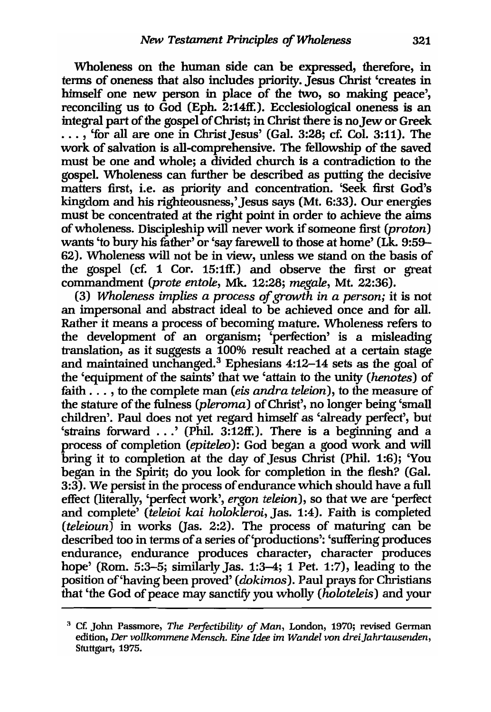Wholeness on the human side can be expressed, therefore, in tenns of oneness that also includes priority. Jesus Christ 'creates in himself one new person in place of the two, so making peace', reconciling us to God (Eph.  $2:14$ ff.). Ecclesiological oneness is an integral part of the gospel of Christ; in Christ there is no Jew or Greek  $\ldots$ , 'for all are one in Christ Jesus' (Gal. 3:28; cf. Col. 3:11). The work of salvation is all-comprehensive. The fellowship of the saved must be one and whole; a divided church is a contradiction to the gospel. Wholeness can further be described as putting the decisive matters first, i.e. as priority and concentration. 'Seek first God's kingdom and his righteousness,' Jesus says (Mt. 6:33). Our energies must be concentrated at the right point in order to achieve the aims of wholeness. Discipleship will never work if someone first *(proton)* wants 'to bury his father' or 'say farewell to those at home' (Lk. 9:59- 62). Wholeness will not be in view, unless we stand on the basis of the gospel (cf. 1 Cor. 15:1ff.) and observe the first or great commandment *(prote entole,* Mk. 12:28; *megale,* Mt. 22:36).

*(3) Wholeness implies a process of growth in a person;* it is not an impersonal and abstract ideal to be achieved once and for all. Rather it means a process of becoming mature. Wholeness refers to the development of an organism; 'perfection' is a misleading translation, as it suggests a 100% result reached at a certain stage and maintained unchanged. 3 Ephesians 4:12-14 sets as the goal of the 'equipment of the saints' that we 'attain to the unity *(henotes)* of faith ... ,to the complete man *(eis andra teleion),* to the measure of the stature of the fulness *(pleroma)* of Christ', no longer being 'small children'. Paul does not yet regard himself as 'already perfect', but 'strains forward ... ' (Phil. 3:12ff.). There is a beginning and a process of completion *(epiteleo):* God began a good work and will bring it to completion at the day of Jesus Christ (Phil. 1:6); 'You began in the Spirit; do you look for completion in the flesh? (Gal. 3:3). We persist in the process of endurance which should have a full effect (literally, 'perfect work', *ergon teleion),* so that we are 'perfect and complete' *(teleioi kai holokleroi,* Jas. 1:4). Faith is completed *(teleioun)* in works (Jas. 2:2). The process of maturing can be described too in terms of a series of'productions': 'suffering produces endurance, endurance produces character, character produces hope' (Rom. 5:3-5; similarly Jas. 1:3-4; 1 Pet. 1:7), leading to the position of 'having been proved' *(dokimos)*. Paul prays for Christians that 'the God of peace may sanctity you wholly *(holoteleis)* and your

<sup>&</sup>lt;sup>3</sup> Cf. John Passmore, *The Perfectibility of Man*, London, 1970; revised German edition, *Der vollkommene Mensch. Eine Idee im Wandel von drei Jahrtausenden*, Stuttgart, 1975.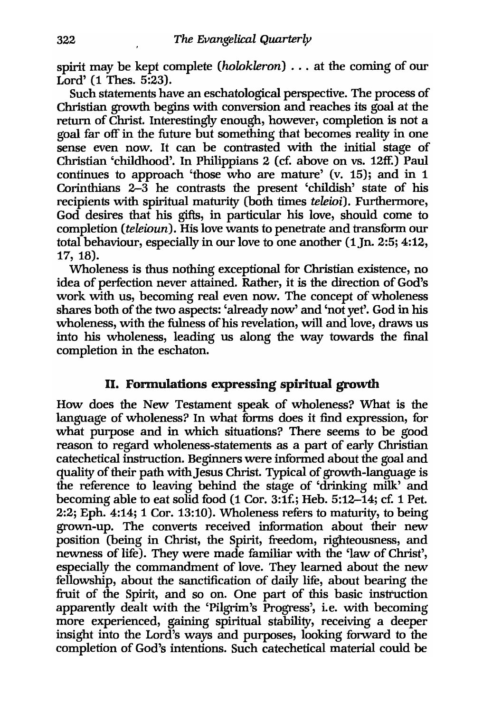spirit may be kept complete *(holokleron)* ... at the coming of our Lord' (1 Thes. 5:23).

Such statements have an eschatological perspective. The process of Christian growth begins with conversion and reaches its goal at the return of Christ. Interestingly enough, however, completion is not a goal far off in the future but something that becomes reality in one sense even now. It can be contrasted with the initial stage of Christian 'childhood'. In Philippians 2 (cf. above on vs. 12ff.) Paul continues to approach 'those who are mature' (v. 15); and in 1 Corinthians  $2-\overline{3}$  he contrasts the present 'childish' state of his recipients with spiritual maturity (both times *teleioi).* Furthermore, God desires that his gifts, in particular his love, should come to completion *(teleioun).* His love wants to penetrate and transform our total behaviour, especially in our love to one another (1Jn. 2:5; 4:12, 17, 18).

Wholeness is thus nothing exceptional for Christian existence, no idea of perfection never attained. Rather, it is the direction of God's work with us, becoming real even now. The concept of wholeness shares both of the two aspects: 'already now' and 'not yet'. God in his wholeness, with the fulness of his revelation, will and love, draws us into his wholeness, leading us along the way towards the final completion in the eschaton.

# II. Formulations expressing spiritual growth

How does the New Testament speak of wholeness? What is the language of wholeness? In what forms does it find expression, for what purpose and in which situations? There seems to be good reason to regard wholeness-statements as a part of early Christian catechetical instruction. Beginners were informed about the goal and quality of their path with Jesus Christ. Typical of growth-language is the reference to leaving behind the stage of 'drinking milk' and becoming able to eat solid food (1 Cor. 3:1f.; Heb. 5:12-14; cf. 1 Pet. 2:2; Eph. 4:14; 1 Cor. 13:10). Wholeness refers to maturity, to being grown-up. The converts received information about their new position (being in Christ, the Spirit, freedom, righteousness, and newness of life). They were made familiar with the 'law of Christ', especially the commandment of love. They learned about the new fellowship, about the sanctification of daily life, about bearing the fruit of the Spirit, and so on. One part of this basic instruction apparently dealt with the 'Pilgrim's Progress', i.e. with becoming more experienced, gaining spiritual stability, receiving a deeper insight into the Lord's ways and purposes, looking forward to the completion of God's intentions. Such catechetical material could be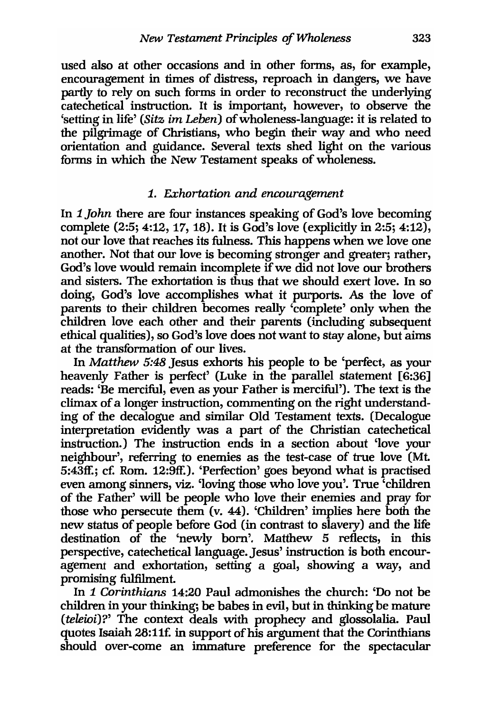used also at other occasions and in other forms, as, for example, encouragement in times of distress, reproach in dangers, we have partly to rely on such forms in order to reconstruct the underlying catechetical instruction. It is important, however, to observe the 'setting in life' *(Sitz im Leben)* of wholeness-language: it is related to the pilgrimage of Christians, who begin their way and who need orientation and guidance. Several texts shed light on the various forms in which the New Testament speaks of wholeness.

#### 1. *Exhortation and encouragement*

In 1 *John* there are four instances speaking of God's love becoming complete  $(2:5; 4:12, 17, 18)$ . It is God's love (explicitly in 2:5; 4:12), not our love that reaches its fulness. This happens when we love one another. Not that our love is becoming stronger and greater; rather, God's love would remain incomplete if we did not love our brothers and sisters. The exhortation is thus that we should exert love. In so doing, God's love accomplishes what it purports. As the love of parents to their children becomes really 'complete' only when the children love each other and their parents (including subsequent ethical qualities), so God's love does not want to stay alone, but aims at the transformation of our lives.

In *Matthew* 5:48 Jesus exhorts his people to be 'perfect, as your heavenly Father is perfect' (Luke in the parallel statement [6:36] reads: 'Be merciful, even as your Father is merciful'). The text is the climax of a longer instruction, commenting on the right understanding of the decalogue and similar Old Testament texts. (Decalogue interpretation evidently was a part of the Christian catechetical instruction.) The instruction ends in a section about 'love your neighbour', referring to enemies as the test-case of true love (Mt. 5:43ff.; cf. Rom. 12:9ff.). 'Perfection' goes beyond what is practised even among sinners, viz. 'loving those who love you'. True 'children of the Father' will be people who love their enemies and pray for those who persecute them (v. 44). 'Children' implies here both the new status of people before God (in contrast to slavery) and the life destination of the 'newly born'. Matthew 5 reflects, in this perspective, catechetical language. Jesus' instruction is both encouragement and exhortation, setting a goal, showing a way, and promising fulfilment.

In 1 *Corinthians* 14:20 Paul admonishes the church: 'Do not be children in your thinking; be babes in evil, but in thinking be mature *(teleioi)?'* The context deals with prophecy and glossolalia. Paul quotes Isaiah 28:11£ in support of his argument that the Corinthians should over-come an immature preference for the spectacular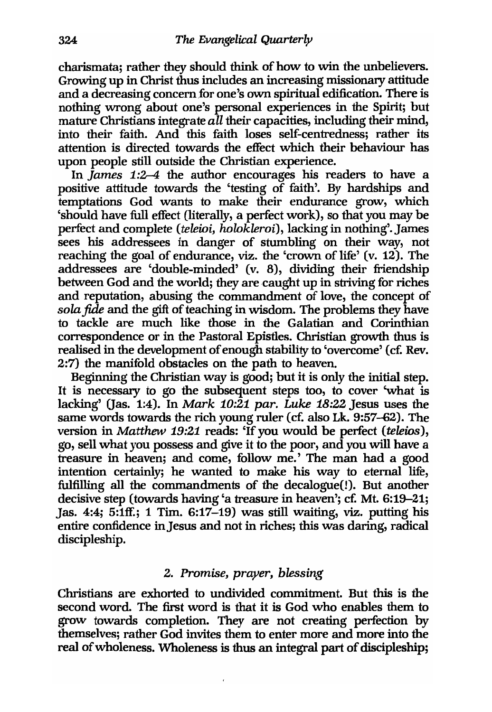charismata; rather they should think of how to win the unbelievers. Growing up in Christ thus includes an increasing missionary attitude and a decreasing concern for one's own spiritual edification. There is nothing wrong about one's personal experiences in the Spirit; but mature Christians integrate all their capacities, including their mind, into their faith. And this faith loses self-centredness; rather its attention is directed towards the effect which their behaviour has upon people still outside the Christian experience.

In *James 1:2-4* the author encourages his readers to have a positive attitude towards the 'testing of faith'. By hardships and temptations God wants to make their endurance grow, which 'should have full effect (literally, a perfect work), so that you may be perfect and complete *(teleini, holokleroi),* lacking in nothing'. James sees his addressees in danger of stumbling on their way, not reaching the goal of endurance, viz. the 'crown of life' (v. 12). The addressees are 'double-minded' (v. 8), dividing their friendship between God and the world; they are caught up in striving for riches and reputation, abusing the commandment of love, the concept of *sola* fide and the gift of teaching in wisdom. The problems they have to tackle are much like those in the Galatian and Corinthian correspondence or in the Pastoral Epistles. Christian growth thus is realised in the development of enough stability to 'overcome' (cf. Rev. 2:7) the manifold obstacles on the path to heaven.

Beginning the Christian way is good; but it is only the initial step. It is necessary to go the subsequent steps too, to cover 'what is lacking' Oas. 1:4). In *Mark 10:21 par. Luke* 18:22 Jesus uses the same words towards the rich young ruler (cf. also Lk. 9:57-62). The version in *Matthew* 19:21 reads: 'If you would be perfect *(teleins),*  go, sell what you possess and give it to the poor, and you will have a treasure in heaven; and come, follow me.' The man had a good intention certainly; he wanted to make his way to eternal life, fulfilling all the commandments of the decalogue(!). But another decisive step (towards having 'a treasure in heaven'; cf. Mt. 6:19-21; Jas. 4:4; 5:1ff.; 1 Tim. 6:17-19) was still waiting, viz. putting his entire confidence in Jesus and not in riches; this was daring, radical discipleship.

# *2. Promise, prayer, blessing*

Christians are exhorted to undivided commitment. But this is the second word. The first word is that it is God who enables them to grow towards completion. They are not creating perfection by themselves; rather God invites them to enter more and more into the real of wholeness. Wholeness is thus an integral part of discipleship;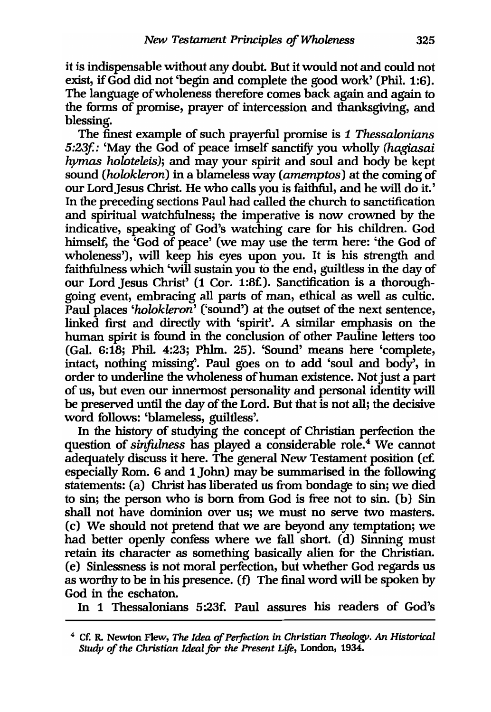it is indispensable without any doubt. But it would not and could not exist, if God did not 'begin and complete the good work' (Phil. 1:6). The language of wholeness therefore comes back again and again to the forms of promise, prayer of intercession and thanksgiving, and blessing.

The finest example of such prayerful promise is 1 *Thessalonians 5:23f:* 'May the God of peace imself sanctity you wholly *(hagiasai hymas holoteleis);* and may your spirit and soul and body be kept sound *(holokleron)* in a blameless way *(amemptos)* at the coming of our LordJesus Christ. He who calls you is faithful, and he will do it.' In the preceding sections Paul had called the church to sanctification and spiritual watchfulness; the imperative is now crowned by the indicative, speaking of God's watching care for his children. God himself, the 'God of peace' (we may use the term here: 'the God of wholeness'), will keep his eyes upon you. It is his strength and faithfulness which 'will sustain you to the end, guiltless in the day of our Lord Jesus Christ' (1 Cor. 1:8£). Sanctification is a thoroughgoing event, embracing all parts of man, ethical as well as cultic. Paul places *'holokleron'* ('sound') at the outset of the next sentence, linked first and directly with 'spirit'. A similar emphasis on the human spirit is found in the conclusion of other Pauline letters too (Gal. 6:18; Phil. 4:23; Phlm. 25). 'Sound' means here 'complete, intact, nothing missing'. Paul goes on to add 'soul and body', in order to underline the wholeness of human existence. Not just a part of us, but even our innermost personality and personal identity will be preserved until the day of the Lord. But that is not all; the decisive word follows: 'blameless, guiltless'.

In the history of studying the concept of Christian perfection the question of *sinfulness* has played a considerable role.<sup>4</sup> We cannot adequately discuss it here. The general New Testament position (cf. especially Rom. 6 and 1 John) may be summarised in the following statements: (a) Christ has liberated us from bondage to sin; we died to sin; the person who is born from God is free not to sin. (b) Sin shall not have dominion over us; we must no serve two masters. (c) We should not pretend that we are beyond any temptation; we had better openly confess where we fall short. (d) Sinning must retain its character as something basically alien for the Christian. (e) Sinlessness is not moral perfection, but whether God regards us as worthy to be in his presence. (f) The final word will be spoken by God in the eschaton.

In 1 Thessalonians 5:23£ Paul assures his readers of God's

<sup>4</sup>ct: R. Newton Flew, *The Idea* of *Perfection in Christian Theologp. An Historical Study of the Christian Ideal* for *the Present Life,* London, 1934.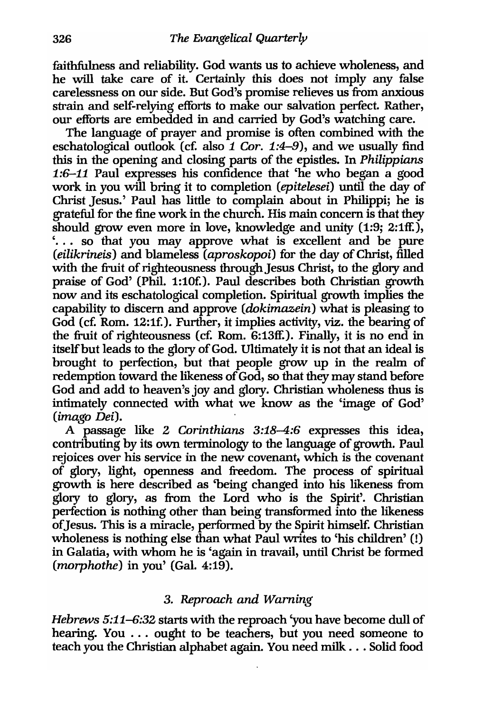faithfulness and reliability. God wants us to achieve wholeness, and he will take care of it. Certainly this does not imply any false carelessness on our side. But God's promise relieves us from anxious strain and self-relying efforts to make our salvation perfect. Rather, our efforts are embedded in and carried by God's watching care.

The language of prayer and promise is often combined with the eschatological outlook (c£ also 1 *Cor.* 1:4-9), and we usually find this in the opening and closing parts of the epistles. In *Philippians*  1:6-11 Paul expresses his confidence that 'he who began a good work in you will bring it to completion *(epitelesei)* until the day of Christ Jesus.' Paul has little to complain about in Philippi; he is grateful for the fine work in the church. His main concern is that they should grow even more in love, knowledge and unity (1:9; 2:1ff.), '. .. so that you may approve what is excellent and be pure *(eilikrineis)* and blameless *(aproskopoi)* for the day of Christ, filled with the fruit of righteousness through Jesus Christ, to the glory and praise of God' (Phil. 1:10£). Paul describes both Christian growth now and its eschatological completion. Spiritual growth implies the capability to discern and approve *(dokimazein)* what is pleasing to God (c£ Rom. 12:1£). Further, it implies activity, viz. the bearing of the fruit of righteousness (cf. Rom.  $6:13$ ff.). Finally, it is no end in itself but leads to the glory of God. Ultimately it is not that an ideal is brought to perfection, but that people grow up in the realm of redemption toward the likeness of God, so that they may stand before God and add to heaven's joy and glory. Christian wholeness thus is intimately connected with what we know as the 'image of God' *(imago Dei).* 

A passage like 2 *Corinthians* 3:18-4:6 expresses this idea, contributing by its own terminology to the language of growth. Paul rejoices over his service in the new covenant, which is the covenant of glory, light, openness and freedom. The process of spiritual growth is here described as 'being changed into his likeness from glory to glory, as from the Lord who is the Spirit'. Christian perfection is nothing other than being transformed into the likeness of Jesus. This is a miracle, performed by the Spirit himself. Christian wholeness is nothing else than what Paul writes to 'his children' (!) in Galatia, with whom he is 'again in travail, until Christ be formed *(morphothe)* in you' (Gal. 4:19).

# *3. Reproach and Warning*

*Hebrews* 5:11-6:32 starts with the reproach 'you have become dull of hearing. You . . . ought to be teachers, but you need someone to teach you the Christian alphabet again. You need milk ... Solid food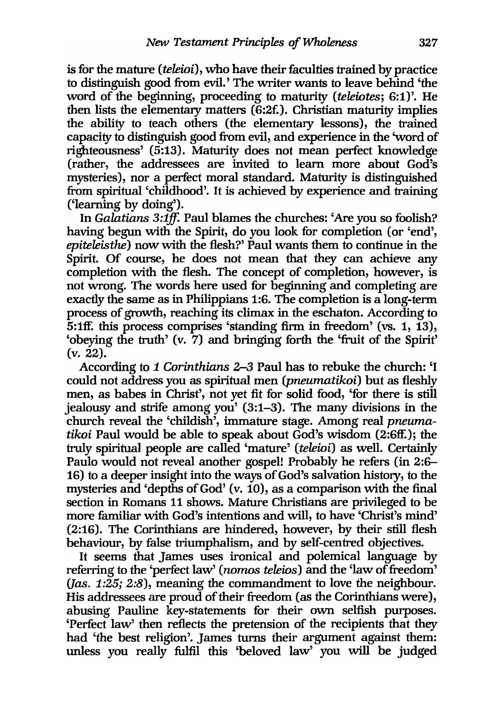is for the mature *(teleioi),* who have their faculties trained by practice to distinguish good from evil.' The writer wants to leave behind 'the word of the beginning, proceeding to maturity *(teleiotes;* 6:1)'. He then lists the elementary matters (6:2£). Christian maturity implies the ability to teach others (the elementary lessons), the trained capacity to distinguish good from evil, and experience in the 'word of righteousness' (5:13). Maturity does not mean perfect knowledge (rather, the addressees are invited to learn more about God's mysteries), nor a perfect moral standard. Maturity is distinguished from spiritual 'childhood'. It is achieved by experience and training ('learning by doing').

In *Galatians 3:1ff.* Paul blames the churches: 'Are you so foolish? having begun with the Spirit, do you look for completion (or 'end', *epiteleisthe)* now with the flesh?' Paul wants them to continue in the Spirit. Of course, he does not mean that they can achieve any completion with the flesh. The concept of completion, however, is not wrong. The words here used for beginning and completing are exactly the same as in Philippians 1:6. The completion is a long-term process of growth, reaching its climax in the eschaton. According to 5:1ff. this process comprises 'standing firm in freedom' (vs. 1, 13), 'obeying the truth' (v. 7) and bringing forth the 'fruit of the Spirit' (v. 22).

According to 1 *Corinthians 2*-3 Paul has to rebuke the church: 'I could not address you as spiritual men *(pneumatikoi)* but as fleshly men, as babes in Christ', not yet fit for solid food, 'for there is still jealousy and strife among you' (3:1-3). The many divisions in the church reveal the 'childish', immature stage. Among real *pneumatikoi* Paul would be able to speak about God's wisdom (2:6ff.); the truly spiritual people are called 'mature' *(teleioi)* as well. Certainly Paulo would not reveal another gospel! Probably he refers (in 2:6- 16) to a deeper insight into the ways of God's salvation history, to the mysteries and 'depths of God' (v. 10), as a comparison with the final section in Romans 11 shows. Mature Christians are privileged to be more familiar with God's intentions and will, to have 'Christ's mind' (2:16). The Corinthians are hindered, however, by their still flesh behaviour, by false triumphalism, and by self-centred objectives.

It seems that James uses ironical and polemical language by referring to the 'perfect law' *(nomos teleios)* and the 'law of freedom' *Uas.* 1:25; 2:8), meaning the commandment to love the neighbour. His addressees are proud of their freedom (as the Corinthlans were), abusing Pauline key-statements for their own selfish purposes. 'Perfect law' then reflects the pretension of the recipients that they had 'the best religion'. James turns their argument against them: unless you really fulfil this 'beloved law' you will be judged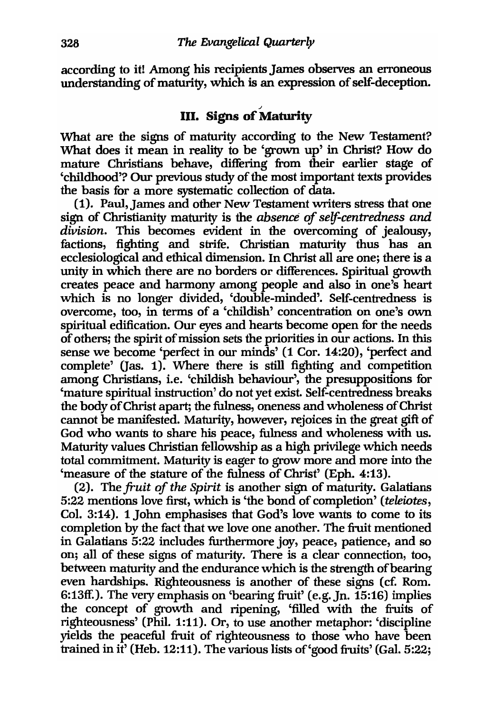according to it! Among his recipients James observes an erroneous understanding of maturity, which is an expression of self-deception.

# III. Signs of Maturity

What are the signs of maturity according to the New Testament? What does it mean in reality to be 'grown up' in Christ? How do mature Christians behave, differing from their earlier stage of 'childhood'? Our previous study of the most important texts provides the basis for a more systematic collection of data.

(1). Paul, James and other New Testament writers stress that one sign of Christianity maturity is the *absence* of *self-centredness and division.* This becomes evident in the overcoming of jealousy, factions, fighting and strife. Christian maturity thus has an ecclesiological and ethical dimension. In Christ all are one; there is a unity in which there are no borders or differences. Spiritual growth creates peace and harmony among people and also in one's heart which is no longer divided, 'double-minded'. Self-centredness is overcome, too, in terms of a 'childish' concentration on one's own spiritual edification. Our eyes and hearts become open for the needs of others; the spirit of mission sets the priorities in our actions. In this sense we become 'perfect in our minds' (1 Cor. 14:20), 'perfect and complete' (Jas. 1). Where there is still fighting and competition among Christians, i.e. 'childish behaviour', the presuppositions for 'mature spiritual instruction' do not yet exist. Self-centredness breaks the body of Christ apart; the fulness, oneness and wholeness of Christ cannot be manifested. Maturity, however, rejoices in the great gift of God who wants to share his peace, fulness and wholeness with us. Maturity values Christian fellowship as a high privilege which needs total commitment. Maturity is eager to grow more and more into the 'measure of the stature of the fulness of Christ' (Eph. 4:13).

(2). The *fruit of the Spirit* is another sign of maturity. Galatians 5:22 mentions love first, which is 'the bond of completion' *(teleiotes,*  Col. 3:14). 1 John emphasises that God's love wants to come to its completion by the fact that we love one another. The fruit mentioned in Galatians 5:22 includes furthermore joy, peace, patience, and so on; all of these signs of maturity. There is a clear connection, too, between maturity and the endurance which is the strength of bearing even hardships. Righteousness is another of these signs (cf. Rom. 6:13ff.). The very emphasis on 'bearing fruit' (e.g.Jn. 15:16) implies the concept of growth and ripening, 'filled with the fruits of righteousness' (Phil. 1:11). Or, to use another metaphor: 'discipline yields the peaceful fruit of righteousness to those who have been trained in it' (Heb. 12:11). The various lists of 'good fruits' (Gal. 5:22;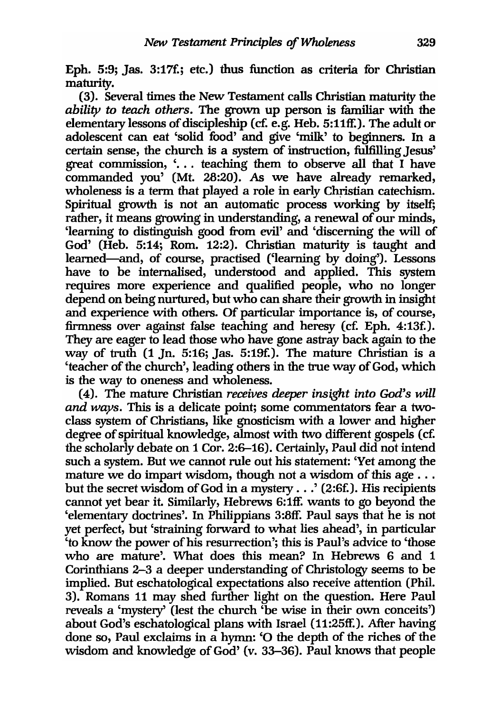Eph. 5:9; Jas. 3:17£; etc.) thus function as criteria for Christian maturity.

(3). Several times the New Testament calls Christian maturity the *ability* to *teach others.* The grown up person is familiar with the elementary lessons of discipleship (cf. e.g. Heb. 5:11ff.). The adult or adolescent can eat 'solid food' and give 'milk' to beginners. In a certain sense, the church is a system of instruction, fulfilling Jesus' great commission, '... teaching them to observe all that I have commanded you' (Mt. 28:20). As we have already remarked, wholeness is a term that played a role in early Christian catechism. Spiritual growth is not an automatic process working by itself; rather, it means growing in understanding, a renewal of our minds, 'learning to distinguish good from evil' and 'discerning the will of God' (Heb. 5:14; Rom. 12:2). Christian maturity is taught and leamed-and, of course, practised ('learning by doing'). Lessons have to be internalised, understood and applied. This system requires more experience and qualified people, who no longer depend on being nurtured, but who can share their growth in insight and experience with others. Of particular importance is, of course, firmness over against false teaching and heresy (c£ Eph. 4:13£). They are eager to lead those who have gone astray back again to the way of truth (1 In. 5:16; Jas. 5:19£). The mature Christian is a 'teacher of the church', leading others in the true way of God, which is the way to oneness and wholeness.

(4). The mature Christian *receives deeper insight into God's will and ways.* This is a delicate point; some commentators fear a twoclass system of Christians, like gnosticism with a lower and higher degree of spiritual knowledge, almost with two different gospels (cf. the scholarly debate on 1 Cor. 2:6-16). Certainly, Paul did not intend such a system. But we cannot rule out his statement: 'Yet among the mature we do impart wisdom, though not a wisdom of this age ... but the secret wisdom of God in a *mystery .* .. ' (2:6£). His recipients cannot yet bear it. Similarly, Hebrews 6:1ff. wants to go beyond the 'elementary doctrines'. In Philippians 3:8ff. Paul says that he is not yet perfect, but 'straining forward to what lies ahead', in particular 'to know the power of his resurrection'; this is Paul's advice to 'those who are mature'. What does this mean? In Hebrews 6 and 1 Corinthians 2-3 a deeper understanding of Christology seems to be implied. But eschatological expectations also receive attention (Phil. 3). Romans 11 may shed further light on the question. Here Paul reveals a *'mystery'* (lest the church 'be wise in their own conceits') about God's eschatological plans with Israel (11:25ff.). After having done so, Paul exclaims in a hymn: '0 the depth of the riches of the wisdom and knowledge of God' (v. 33-36). Paul knows that people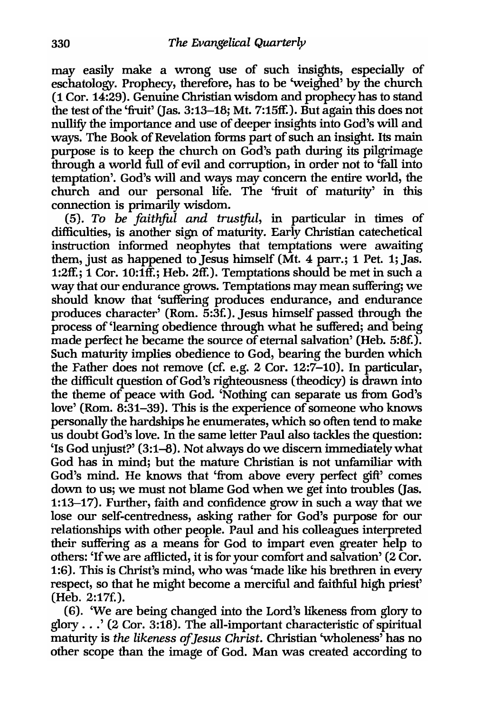may easily make a wrong use of such insights, especially of eschatology. Prophecy, therefore, has to be 'weighed' by the church (1 Cor. 14:29). Genuine Christian wisdom and prophecy has to stand the test of the 'fruit' (Jas. 3:13-18; Mt. 7:15ff.). But again this does not nullifY the importance and use of deeper insights into God's will and ways. The Book of Revelation forms part of such an insight. Its main purpose is to keep the church on God's path during its pilgrimage through a world full of evil and corruption, in order not to 'fall into temptation'. God's will and ways may concern the entire world, the church and our personal life. The 'fruit of maturity' in this connection is primarily wisdom.

*(5). To be faithful and trustful,* in particular in times of difficulties, is another sign of maturity. Early Christian catechetical instruction informed neophytes that temptations were awaiting them, just as happened to Jesus himself (Mt. 4 parr.; 1 Pet. 1; Jas. 1:2ff.; 1 Cor. 10:1ff.; Heb. 2ff.). Temptations should be met in such a way that our endurance grows. Temptations may mean suffering; we should know that 'suffering produces endurance, and endurance produces character' (Rom. 5:3£). Jesus himself passed through the process of 'learning obedience through what he suffered; and being made perfect he became the source of eternal salvation' (Heb. 5:8£). Such maturity implies obedience to God, bearing the burden which the Father does not remove (cf. e.g. 2 Cor. 12:7-10). In particular, the difficult question of God's righteousness (theodicy) is drawn into the theme of peace with God. 'Nothing can separate us from God's love' (Rom. 8:31-39). This is the experience of someone who knows personally the hardships he enumerates, which so often tend to make us doubt God's love. In the same letter Paul also tackles the question:  $'$ Is God unjust?' (3:1–8). Not always do we discern immediately what God has in mind; but the mature Christian is not unfamiliar with God's mind. He knows that 'from above *every* perfect gift' comes down to us; we must not blame God when we get into troubles Gas. 1:13-17). Further, faith and confidence grow in such a way that we lose our self-centredness, asking rather for God's purpose for our relationships with other people. Paul and his colleagues interpreted their suffering as a means for God to impart even greater help to others: 'If we are afilicted, it is for your comfort and salvation' (2 Cor. 1:6). This is Christ's mind, who was 'made like his brethren in *every*  respect, so that he might become a merciful and faithful high priest' (Heb. 2:17£).

(6). 'We are being changed into the Lord's likeness from glory to glory  $\ldots$  (2 Cor. 3:18). The all-important characteristic of spiritual maturity is *the likeness of Jesus Christ.* Christian 'wholeness' has no other scope than the image of God. Man was created according to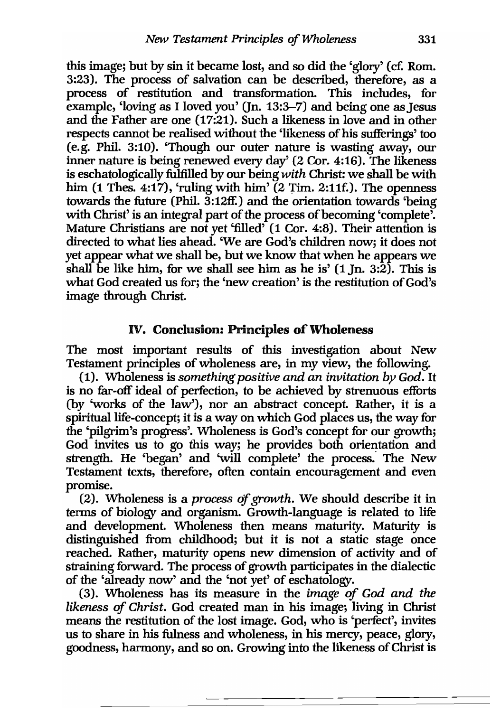this image; but by sin it became lost, and so did the 'glory' (c£ Rom. 3:23). The process of salvation can be described, therefore, as a process of restitution and transformation. This includes, for example, 'loving as I loved you' Un. 13:3-7) and being one as Jesus and the Father are one (17:21). Such a likeness in love and in other respects cannot be realised without the 'likeness of his sufferings' too (e.g. Phil. 3:10). 'Though our outer nature is wasting away, our inner nature is being renewed every day' (2 Cor. 4:16). The likeness is eschatologically fulfilled by our being *with* Christ: we shall be with him  $(1$  Thes. 4:17), 'ruling with him'  $(2 \text{ Tim. } 2:11\text{f.})$ . The openness towards the future (Phil. 3:12ff.) and the orientation towards 'being with Christ' is an integral part of the process of becoming 'complete'. Mature Christians are not yet 'filled' (1 Cor. 4:8). Their attention is directed to what lies ahead. 'We are God's children now; it does not yet appear what we shall be, but we know that when he appears we shall be like him, for we shall see him as he is' (1 In. 3:2). This is what God created us for; the 'new creation' is the restitution of God's image through Christ.

# IV. Conclusion: Principles of Wholeness

The most important results of this investigation about New Testament principles of wholeness are, in my view, the following.

(1). Wholeness is *something positive and an invitation* by *God.* It is no far-off ideal of perfection, to be achieved by strenuous efforts (by 'works of the law'), nor an abstract concept. Rather, it is a spiritual life-concept; it is a way on which God places us, the way for the 'pilgrim's progress'. Wholeness is God's concept for our growth; God invites us to go this way; he provides both orientation and strength. He 'began' and 'will complete' the process. The New Testament texts, therefore, often contain encouragement and even promise.

(2). Wholeness is a *process of growth.* We should describe it in tenns of biology and organism. Growth-language is related to life and development. Wholeness then means maturity. Maturity is distinguished from childhood; but it is not a static stage once reached. Rather, maturity opens new dimension of activity and of straining forward. The process of growth participates in the dialectic of the 'already now' and the 'not yet' of eschatology.

(3). Wholeness has its measure in the *image of God and the likeness of Christ.* God created man in his image; living in Christ means the restitution of the lost image. God, who is 'perfect', invites us to share in his fulness and wholeness, in his mercy, peace, glory, goodness, harmony, and so on. Growing into the likeness of Christ is